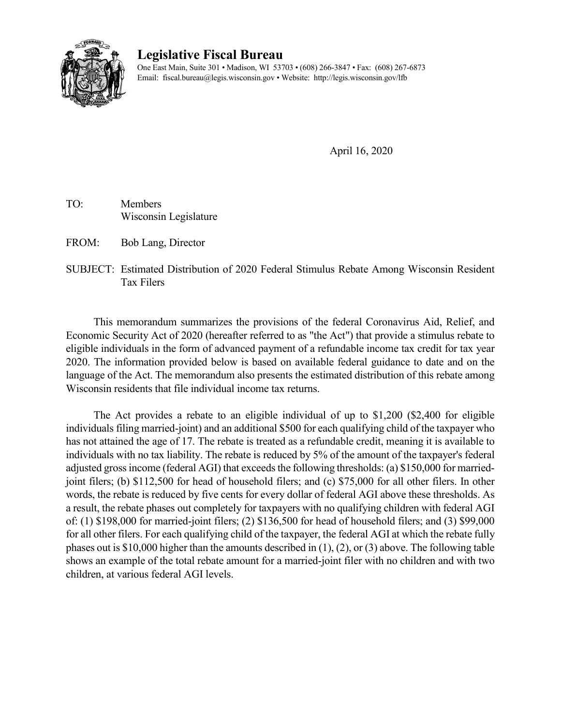

## **Legislative Fiscal Bureau**

One East Main, Suite 301 • Madison, WI 53703 • (608) 266-3847 • Fax: (608) 267-6873 Email: fiscal.bureau@legis.wisconsin.gov • Website:<http://legis.wisconsin.gov/lfb>

April 16, 2020

TO: Members Wisconsin Legislature

FROM: Bob Lang, Director

SUBJECT: Estimated Distribution of 2020 Federal Stimulus Rebate Among Wisconsin Resident Tax Filers

This memorandum summarizes the provisions of the federal Coronavirus Aid, Relief, and Economic Security Act of 2020 (hereafter referred to as "the Act") that provide a stimulus rebate to eligible individuals in the form of advanced payment of a refundable income tax credit for tax year 2020. The information provided below is based on available federal guidance to date and on the language of the Act. The memorandum also presents the estimated distribution of this rebate among Wisconsin residents that file individual income tax returns.

The Act provides a rebate to an eligible individual of up to \$1,200 (\$2,400 for eligible individuals filing married-joint) and an additional \$500 for each qualifying child of the taxpayer who has not attained the age of 17. The rebate is treated as a refundable credit, meaning it is available to individuals with no tax liability. The rebate is reduced by 5% of the amount of the taxpayer's federal adjusted gross income (federal AGI) that exceeds the following thresholds: (a) \$150,000 for marriedjoint filers; (b) \$112,500 for head of household filers; and (c) \$75,000 for all other filers. In other words, the rebate is reduced by five cents for every dollar of federal AGI above these thresholds. As a result, the rebate phases out completely for taxpayers with no qualifying children with federal AGI of: (1) \$198,000 for married-joint filers; (2) \$136,500 for head of household filers; and (3) \$99,000 for all other filers. For each qualifying child of the taxpayer, the federal AGI at which the rebate fully phases out is \$10,000 higher than the amounts described in  $(1)$ ,  $(2)$ , or  $(3)$  above. The following table shows an example of the total rebate amount for a married-joint filer with no children and with two children, at various federal AGI levels.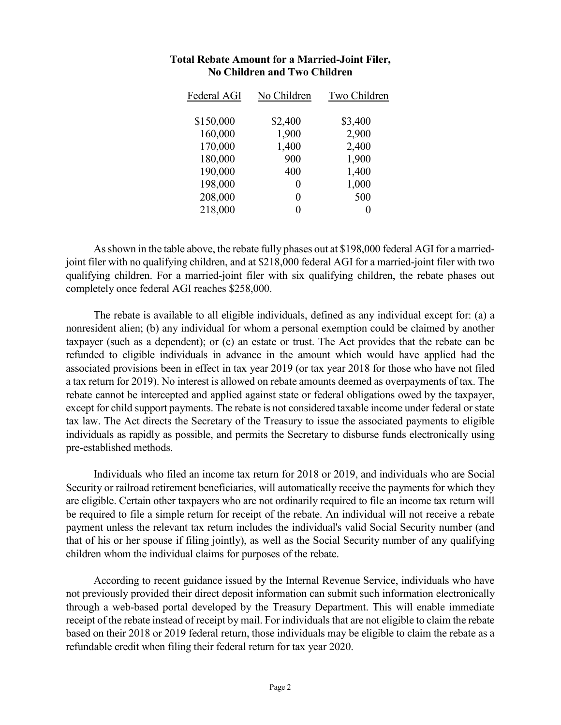| Federal AGI | No Children | Two Children |
|-------------|-------------|--------------|
|             |             |              |
| \$150,000   | \$2,400     | \$3,400      |
| 160,000     | 1,900       | 2,900        |
| 170,000     | 1,400       | 2,400        |
| 180,000     | 900         | 1,900        |
| 190,000     | 400         | 1,400        |
| 198,000     | 0           | 1,000        |
| 208,000     | 0           | 500          |
| 218,000     | 0           |              |
|             |             |              |

## **Total Rebate Amount for a Married-Joint Filer, No Children and Two Children**

As shown in the table above, the rebate fully phases out at \$198,000 federal AGI for a marriedjoint filer with no qualifying children, and at \$218,000 federal AGI for a married-joint filer with two qualifying children. For a married-joint filer with six qualifying children, the rebate phases out completely once federal AGI reaches \$258,000.

The rebate is available to all eligible individuals, defined as any individual except for: (a) a nonresident alien; (b) any individual for whom a personal exemption could be claimed by another taxpayer (such as a dependent); or (c) an estate or trust. The Act provides that the rebate can be refunded to eligible individuals in advance in the amount which would have applied had the associated provisions been in effect in tax year 2019 (or tax year 2018 for those who have not filed a tax return for 2019). No interest is allowed on rebate amounts deemed as overpayments of tax. The rebate cannot be intercepted and applied against state or federal obligations owed by the taxpayer, except for child support payments. The rebate is not considered taxable income under federal or state tax law. The Act directs the Secretary of the Treasury to issue the associated payments to eligible individuals as rapidly as possible, and permits the Secretary to disburse funds electronically using pre-established methods.

Individuals who filed an income tax return for 2018 or 2019, and individuals who are Social Security or railroad retirement beneficiaries, will automatically receive the payments for which they are eligible. Certain other taxpayers who are not ordinarily required to file an income tax return will be required to file a simple return for receipt of the rebate. An individual will not receive a rebate payment unless the relevant tax return includes the individual's valid Social Security number (and that of his or her spouse if filing jointly), as well as the Social Security number of any qualifying children whom the individual claims for purposes of the rebate.

According to recent guidance issued by the Internal Revenue Service, individuals who have not previously provided their direct deposit information can submit such information electronically through a web-based portal developed by the Treasury Department. This will enable immediate receipt of the rebate instead of receipt by mail. For individuals that are not eligible to claim the rebate based on their 2018 or 2019 federal return, those individuals may be eligible to claim the rebate as a refundable credit when filing their federal return for tax year 2020.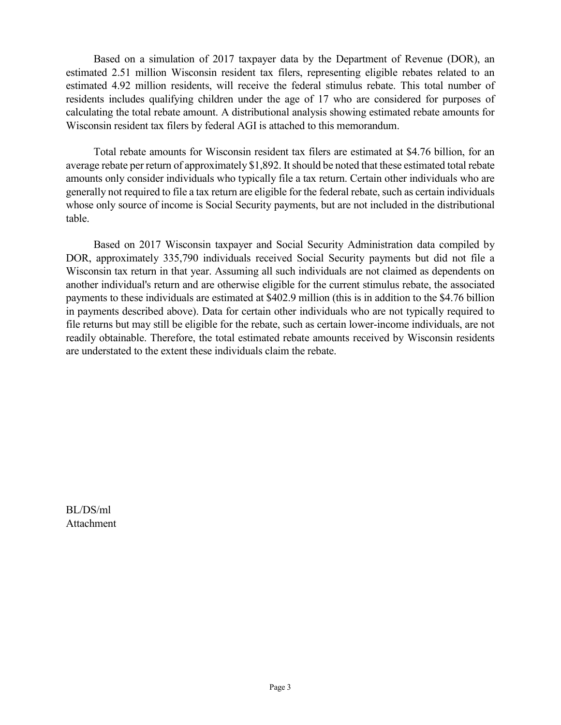Based on a simulation of 2017 taxpayer data by the Department of Revenue (DOR), an estimated 2.51 million Wisconsin resident tax filers, representing eligible rebates related to an estimated 4.92 million residents, will receive the federal stimulus rebate. This total number of residents includes qualifying children under the age of 17 who are considered for purposes of calculating the total rebate amount. A distributional analysis showing estimated rebate amounts for Wisconsin resident tax filers by federal AGI is attached to this memorandum.

Total rebate amounts for Wisconsin resident tax filers are estimated at \$4.76 billion, for an average rebate per return of approximately \$1,892. It should be noted that these estimated total rebate amounts only consider individuals who typically file a tax return. Certain other individuals who are generally not required to file a tax return are eligible for the federal rebate, such as certain individuals whose only source of income is Social Security payments, but are not included in the distributional table.

Based on 2017 Wisconsin taxpayer and Social Security Administration data compiled by DOR, approximately 335,790 individuals received Social Security payments but did not file a Wisconsin tax return in that year. Assuming all such individuals are not claimed as dependents on another individual's return and are otherwise eligible for the current stimulus rebate, the associated payments to these individuals are estimated at \$402.9 million (this is in addition to the \$4.76 billion in payments described above). Data for certain other individuals who are not typically required to file returns but may still be eligible for the rebate, such as certain lower-income individuals, are not readily obtainable. Therefore, the total estimated rebate amounts received by Wisconsin residents are understated to the extent these individuals claim the rebate.

BL/DS/ml Attachment